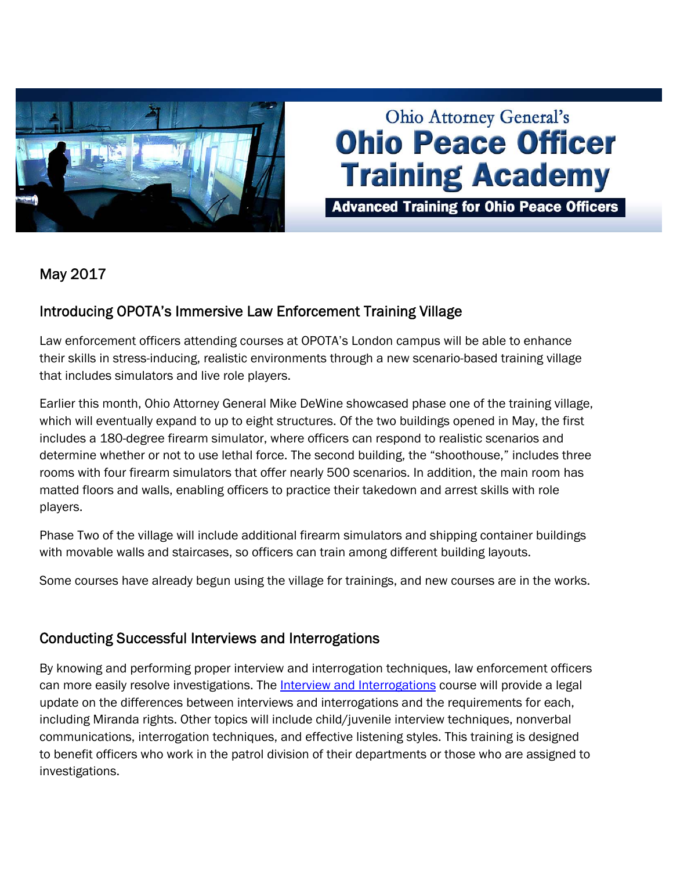

# **Ohio Attorney General's Ohio Peace Officer Training Academy**

**Advanced Training for Ohio Peace Officers** 

# May 2017

#### Introducing OPOTA's Immersive Law Enforcement Training Village

Law enforcement officers attending courses at OPOTA's London campus will be able to enhance their skills in stress-inducing, realistic environments through a new scenario-based training village that includes simulators and live role players.

Earlier this month, Ohio Attorney General Mike DeWine showcased phase one of the training village, which will eventually expand to up to eight structures. Of the two buildings opened in May, the first includes a 180-degree firearm simulator, where officers can respond to realistic scenarios and determine whether or not to use lethal force. The second building, the "shoothouse," includes three rooms with four firearm simulators that offer nearly 500 scenarios. In addition, the main room has matted floors and walls, enabling officers to practice their takedown and arrest skills with role players.

Phase Two of the village will include additional firearm simulators and shipping container buildings with movable walls and staircases, so officers can train among different building layouts.

Some courses have already begun using the village for trainings, and new courses are in the works.

#### Conducting Successful Interviews and Interrogations

By knowing and performing proper interview and interrogation techniques, law enforcement officers can more easily resolve investigations. The [Interview and Interrogations](http://www.ohioattorneygeneral.gov/Law-Enforcement/Ohio-Peace-Officer-Training-Academy/Course-Catalog/Course-Search.aspx?searchtext=interview+and+interrogation&searchmode=exactphrase) course will provide a legal update on the differences between interviews and interrogations and the requirements for each, including Miranda rights. Other topics will include child/juvenile interview techniques, nonverbal communications, interrogation techniques, and effective listening styles. This training is designed to benefit officers who work in the patrol division of their departments or those who are assigned to investigations.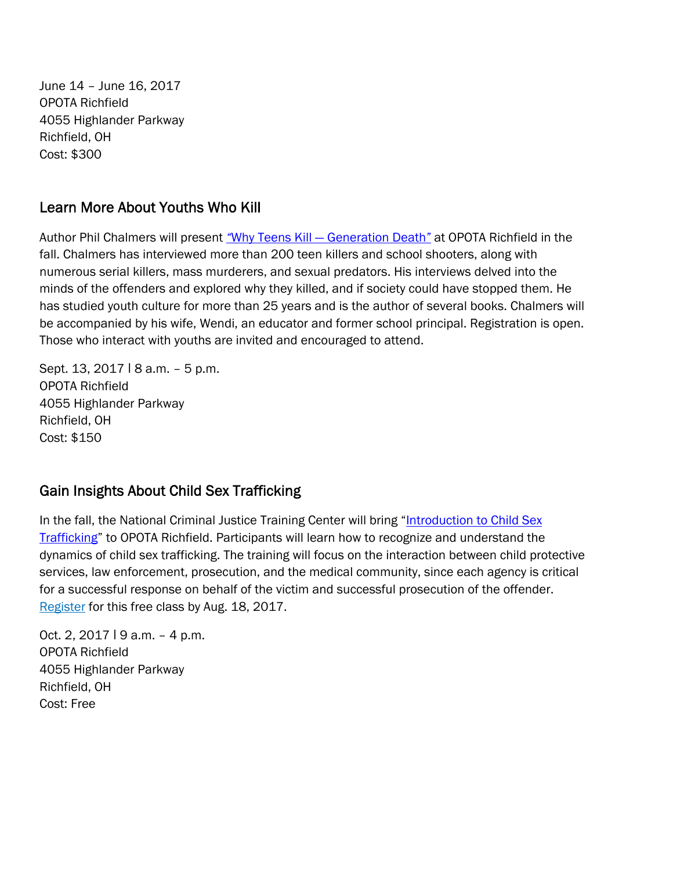June 14 – June 16, 2017 OPOTA Richfield 4055 Highlander Parkway Richfield, OH Cost: \$300

## Learn More About Youths Who Kill

Author Phil Chalmers will present *"*[Why Teens Kill — Generation Death](http://www.ohioattorneygeneral.gov/Law-Enforcement/Ohio-Peace-Officer-Training-Academy/Course-Catalog/Course-Search?searchtext=death&searchmode=anyword)*"* at OPOTA Richfield in the fall. Chalmers has interviewed more than 200 teen killers and school shooters, along with numerous serial killers, mass murderers, and sexual predators. His interviews delved into the minds of the offenders and explored why they killed, and if society could have stopped them. He has studied youth culture for more than 25 years and is the author of several books. Chalmers will be accompanied by his wife, Wendi, an educator and former school principal. Registration is open. Those who interact with youths are invited and encouraged to attend.

Sept. 13, 2017 | 8 a.m. - 5 p.m. OPOTA Richfield 4055 Highlander Parkway Richfield, OH Cost: \$150

### Gain Insights About Child Sex Trafficking

[In the fall, the National Criminal Justice Training Center will bring "Introduction to Child Sex](https://ncjtc.fvtc.edu/training/details/TR00002684/TRI0004158/introduction-to-child-sex-trafficking-1) Trafficking" to OPOTA Richfield. Participants will learn how to recognize and understand the dynamics of child sex trafficking. The training will focus on the interaction between child protective services, law enforcement, prosecution, and the medical community, since each agency is critical for a successful response on behalf of the victim and successful prosecution of the offender. [Register](https://ncjtc.fvtc.edu/training/details/TR00002684/TRI0004158/introduction-to-child-sex-trafficking-1) for this free class by Aug. 18, 2017.

Oct. 2, 2017 | 9 a.m. - 4 p.m. OPOTA Richfield 4055 Highlander Parkway Richfield, OH Cost: Free